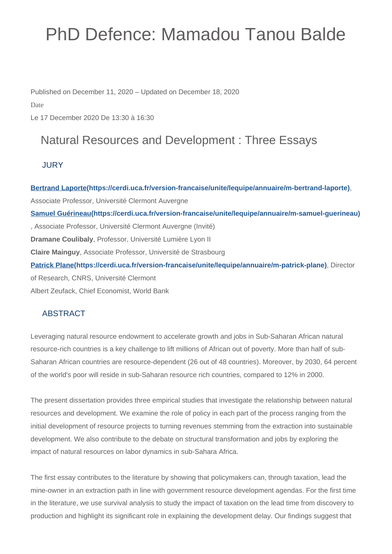# PhD Defence: Mamadou Tanou Balde

Published on December 11, 2020 – Updated on December 18, 2020

Date

Le 17 December 2020 De 13:30 à 16:30

## Natural Resources and Development : Three Essays

#### **JURY**

**[Bertrand Laporte\(https://cerdi.uca.fr/version-francaise/unite/lequipe/annuaire/m-bertrand-laporte\)](https://cerdi.uca.fr/version-francaise/unite/lequipe/annuaire/m-bertrand-laporte)**, Associate Professor, Université Clermont Auvergne **[Samuel Guérineau\(https://cerdi.uca.fr/version-francaise/unite/lequipe/annuaire/m-samuel-guerineau\)](https://cerdi.uca.fr/version-francaise/unite/lequipe/annuaire/m-samuel-guerineau)** , Associate Professor, Université Clermont Auvergne (Invité) **Dramane Coulibaly**, Professor, Université Lumière Lyon II **Claire Mainguy**, Associate Professor, Université de Strasbourg **[Patrick Plane\(https://cerdi.uca.fr/version-francaise/unite/lequipe/annuaire/m-patrick-plane\)](https://cerdi.uca.fr/version-francaise/unite/lequipe/annuaire/m-patrick-plane)**, Director of Research, CNRS, Université Clermont Albert Zeufack, Chief Economist, World Bank

### ABSTRACT

Leveraging natural resource endowment to accelerate growth and jobs in Sub-Saharan African natural resource-rich countries is a key challenge to lift millions of African out of poverty. More than half of sub-Saharan African countries are resource-dependent (26 out of 48 countries). Moreover, by 2030, 64 percent of the world's poor will reside in sub-Saharan resource rich countries, compared to 12% in 2000.

The present dissertation provides three empirical studies that investigate the relationship between natural resources and development. We examine the role of policy in each part of the process ranging from the initial development of resource projects to turning revenues stemming from the extraction into sustainable development. We also contribute to the debate on structural transformation and jobs by exploring the impact of natural resources on labor dynamics in sub-Sahara Africa.

The first essay contributes to the literature by showing that policymakers can, through taxation, lead the mine-owner in an extraction path in line with government resource development agendas. For the first time in the literature, we use survival analysis to study the impact of taxation on the lead time from discovery to production and highlight its significant role in explaining the development delay. Our findings suggest that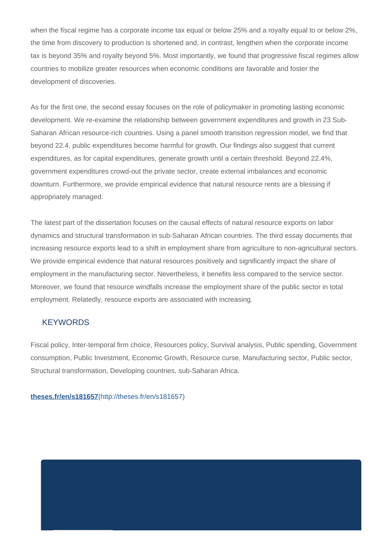when the fiscal regime has a corporate income tax equal or below 25% and a royalty equal to or below 2%, the time from discovery to production is shortened and, in contrast, lengthen when the corporate income tax is beyond 35% and royalty beyond 5%. Most importantly, we found that progressive fiscal regimes allow countries to mobilize greater resources when economic conditions are favorable and foster the development of discoveries.

As for the first one, the second essay focuses on the role of policymaker in promoting lasting economic development. We re-examine the relationship between government expenditures and growth in 23 Sub-Saharan African resource-rich countries. Using a panel smooth transition regression model, we find that beyond 22.4, public expenditures become harmful for growth. Our findings also suggest that current expenditures, as for capital expenditures, generate growth until a certain threshold. Beyond 22.4%, government expenditures crowd-out the private sector, create external imbalances and economic downturn. Furthermore, we provide empirical evidence that natural resource rents are a blessing if appropriately managed.

The latest part of the dissertation focuses on the causal effects of natural resource exports on labor dynamics and structural transformation in sub-Saharan African countries. The third essay documents that increasing resource exports lead to a shift in employment share from agriculture to non-agricultural sectors. We provide empirical evidence that natural resources positively and significantly impact the share of employment in the manufacturing sector. Nevertheless, it benefits less compared to the service sector. Moreover, we found that resource windfalls increase the employment share of the public sector in total employment. Relatedly, resource exports are associated with increasing.

#### **KEYWORDS**

Fiscal policy, Inter-temporal firm choice, Resources policy, Survival analysis, Public spending, Government consumption, Public Investment, Economic Growth, Resource curse, Manufacturing sector, Public sector, Structural transformation, Developing countries, sub-Saharan Africa.

**theses.fr/en/s181657**[\(http://theses.fr/en/s181657\)](http://theses.fr/en/s181657)